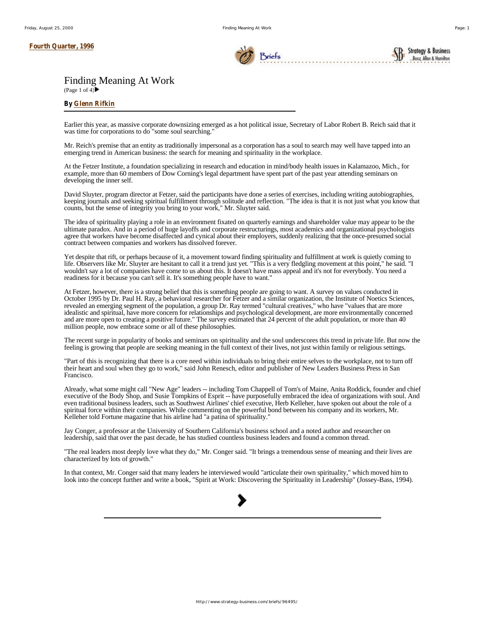#### **Fourth Quarter, 1996**



**Strategy & Business** Booz, Allen & Hamil

# Finding Meaning At Work

(Page 1 of 4) $\blacktriangleright$ 

## **By Glenn Rifkin**

Earlier this year, as massive corporate downsizing emerged as a hot political issue, Secretary of Labor Robert B. Reich said that it was time for corporations to do "some soul searching."

Mr. Reich's premise that an entity as traditionally impersonal as a corporation has a soul to search may well have tapped into an emerging trend in American business: the search for meaning and spirituality in the workplace.

At the Fetzer Institute, a foundation specializing in research and education in mind/body health issues in Kalamazoo, Mich., for example, more than 60 members of Dow Corning's legal department have spent part of the past year attending seminars on developing the inner self.

David Sluyter, program director at Fetzer, said the participants have done a series of exercises, including writing autobiographies, keeping journals and seeking spiritual fulfillment through solitude and reflection. "The idea is that it is not just what you know that counts, but the sense of integrity you bring to your work," Mr. Sluyter said.

The idea of spirituality playing a role in an environment fixated on quarterly earnings and shareholder value may appear to be the ultimate paradox. And in a period of huge layoffs and corporate restructurings, most academics and organizational psychologists agree that workers have become disaffected and cynical about their employers, suddenly realizing that the once-presumed social contract between companies and workers has dissolved forever.

Yet despite that rift, or perhaps because of it, a movement toward finding spirituality and fulfillment at work is quietly coming to life. Observers like Mr. Sluyter are hesitant to call it a trend just yet. "This is a very fledgling movement at this point," he said. "I wouldn't say a lot of companies have come to us about this. It doesn't have mass appeal and it's not for everybody. You need a readiness for it because you can't sell it. It's something people have to want."

At Fetzer, however, there is a strong belief that this is something people are going to want. A survey on values conducted in October 1995 by Dr. Paul H. Ray, a behavioral researcher for Fetzer and a similar organization, the Institute of Noetics Sciences, revealed an emerging segment of the population, a group Dr. Ray termed "cultural creatives," who have "values that are more idealistic and spiritual, have more concern for relationships and psychological development, are more environmentally concerned and are more open to creating a positive future." The survey estimated that 24 percent of the adult population, or more than 40 million people, now embrace some or all of these philosophies.

The recent surge in popularity of books and seminars on spirituality and the soul underscores this trend in private life. But now the feeling is growing that people are seeking meaning in the full context of their lives, not just within family or religious settings.

"Part of this is recognizing that there is a core need within individuals to bring their entire selves to the workplace, not to turn off their heart and soul when they go to work," said John Renesch, editor and publisher of New Leaders Business Press in San Francisco.

Already, what some might call "New Age" leaders -- including Tom Chappell of Tom's of Maine, Anita Roddick, founder and chief executive of the Body Shop, and Susie Tompkins of Esprit -- have purposefully embraced the idea of organizations with soul. And even traditional business leaders, such as Southwest Airlines' chief executive, Herb Kelleher, have spoken out about the role of a spiritual force within their companies. While commenting on the powerful bond between his company and its workers, Mr. Kelleher told Fortune magazine that his airline had "a patina of spirituality."

Jay Conger, a professor at the University of Southern California's business school and a noted author and researcher on leadership, said that over the past decade, he has studied countless business leaders and found a common thread.

"The real leaders most deeply love what they do," Mr. Conger said. "It brings a tremendous sense of meaning and their lives are characterized by lots of growth."

In that context, Mr. Conger said that many leaders he interviewed would "articulate their own spirituality," which moved him to look into the concept further and write a book, "Spirit at Work: Discovering the Spirituality in Leadership" (Jossey-Bass, 1994).

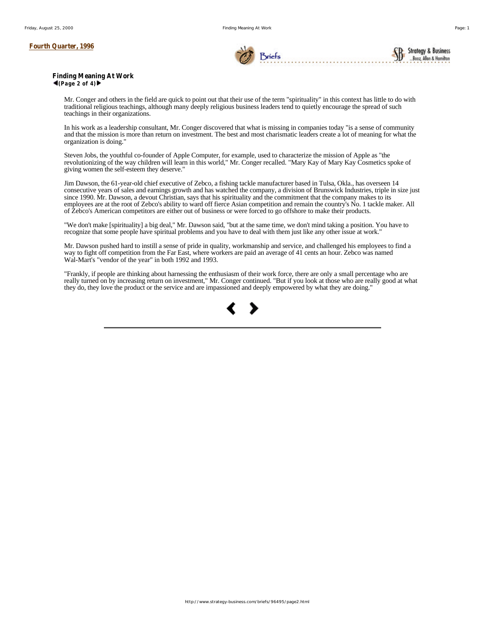### **Fourth Quarter, 1996**



**Finding Meaning At Work**  $\blacktriangleleft$ (Page 2 of 4) $\blacktriangleright$ 

> Mr. Conger and others in the field are quick to point out that their use of the term "spirituality" in this context has little to do with traditional religious teachings, although many deeply religious business leaders tend to quietly encourage the spread of such teachings in their organizations.

> In his work as a leadership consultant, Mr. Conger discovered that what is missing in companies today "is a sense of community and that the mission is more than return on investment. The best and most charismatic leaders create a lot of meaning for what the organization is doing."

Steven Jobs, the youthful co-founder of Apple Computer, for example, used to characterize the mission of Apple as "the revolutionizing of the way children will learn in this world," Mr. Conger recalled. "Mary Kay of Mary Kay Cosmetics spoke of giving women the self-esteem they deserve."

Jim Dawson, the 61-year-old chief executive of Zebco, a fishing tackle manufacturer based in Tulsa, Okla., has overseen 14 consecutive years of sales and earnings growth and has watched the company, a division of Brunswick Industries, triple in size just since 1990. Mr. Dawson, a devout Christian, says that his spirituality and the commitment that the company makes to its employees are at the root of Zebco's ability to ward off fierce Asian competition and remain the country's No. 1 tackle maker. All of Zebco's American competitors are either out of business or were forced to go offshore to make their products.

"We don't make [spirituality] a big deal," Mr. Dawson said, "but at the same time, we don't mind taking a position. You have to recognize that some people have spiritual problems and you have to deal with them just like any other issue at work."

Mr. Dawson pushed hard to instill a sense of pride in quality, workmanship and service, and challenged his employees to find a way to fight off competition from the Far East, where workers are paid an average of 41 cents an hour. Zebco was named Wal-Mart's "vendor of the year" in both 1992 and 1993.

"Frankly, if people are thinking about harnessing the enthusiasm of their work force, there are only a small percentage who are really turned on by increasing return on investment," Mr. Conger continued. "But if you look at those who are really good at what they do, they love the product or the service and are impassioned and deeply empowered by what they are doing."

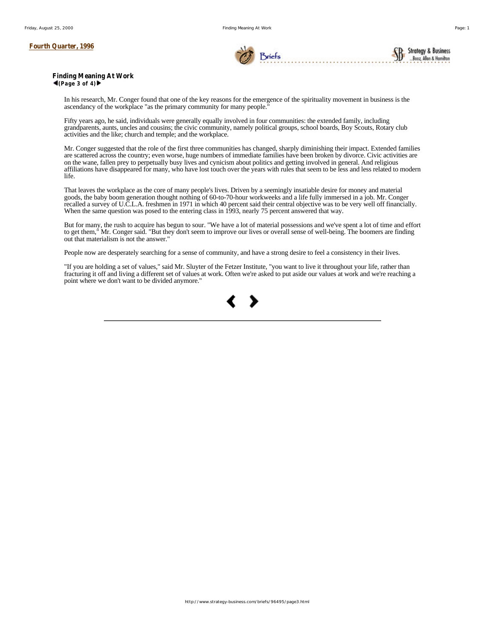

**Finding Meaning At Work**  $\blacktriangleleft$ (Page 3 of 4) $\blacktriangleright$ 

> In his research, Mr. Conger found that one of the key reasons for the emergence of the spirituality movement in business is the ascendancy of the workplace "as the primary community for many people."

> Fifty years ago, he said, individuals were generally equally involved in four communities: the extended family, including grandparents, aunts, uncles and cousins; the civic community, namely political groups, school boards, Boy Scouts, Rotary club activities and the like; church and temple; and the workplace.

Mr. Conger suggested that the role of the first three communities has changed, sharply diminishing their impact. Extended families are scattered across the country; even worse, huge numbers of immediate families have been broken by divorce. Civic activities are on the wane, fallen prey to perpetually busy lives and cynicism about politics and getting involved in general. And religious affiliations have disappeared for many, who have lost touch over the years with rules that seem to be less and less related to modern life.

That leaves the workplace as the core of many people's lives. Driven by a seemingly insatiable desire for money and material goods, the baby boom generation thought nothing of 60-to-70-hour workweeks and a life fully immersed in a job. Mr. Conger recalled a survey of U.C.L.A. freshmen in 1971 in which 40 percent said their central objective was to be very well off financially. When the same question was posed to the entering class in 1993, nearly 75 percent answered that way.

But for many, the rush to acquire has begun to sour. "We have a lot of material possessions and we've spent a lot of time and effort to get them," Mr. Conger said. "But they don't seem to improve our lives or overall sense of well-being. The boomers are finding out that materialism is not the answer."

People now are desperately searching for a sense of community, and have a strong desire to feel a consistency in their lives.

"If you are holding a set of values," said Mr. Sluyter of the Fetzer Institute, "you want to live it throughout your life, rather than fracturing it off and living a different set of values at work. Often we're asked to put aside our values at work and we're reaching a point where we don't want to be divided anymore."